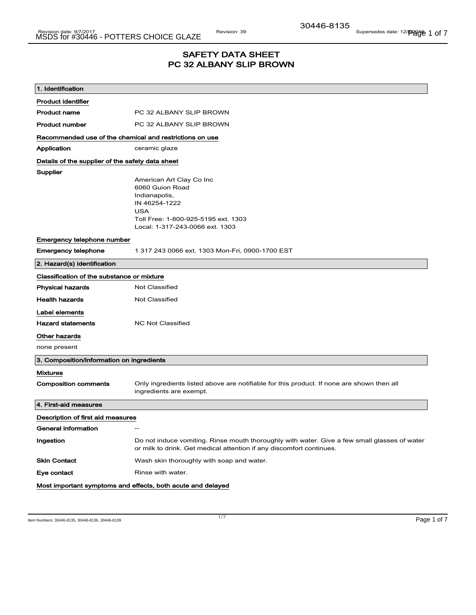## SAFETY DATA SHEET PC 32 ALBANY SLIP BROWN

| 1. Identification                                           |                                                                                                                                                                      |
|-------------------------------------------------------------|----------------------------------------------------------------------------------------------------------------------------------------------------------------------|
| <b>Product identifier</b>                                   |                                                                                                                                                                      |
| <b>Product name</b>                                         | PC 32 ALBANY SLIP BROWN                                                                                                                                              |
| <b>Product number</b>                                       | PC 32 ALBANY SLIP BROWN                                                                                                                                              |
| Recommended use of the chemical and restrictions on use     |                                                                                                                                                                      |
| Application                                                 | ceramic glaze                                                                                                                                                        |
| Details of the supplier of the safety data sheet            |                                                                                                                                                                      |
| Supplier                                                    |                                                                                                                                                                      |
|                                                             | American Art Clay Co Inc                                                                                                                                             |
|                                                             | 6060 Guion Road<br>Indianapolis,                                                                                                                                     |
|                                                             | IN 46254-1222                                                                                                                                                        |
|                                                             | <b>USA</b>                                                                                                                                                           |
|                                                             | Toll Free: 1-800-925-5195 ext. 1303                                                                                                                                  |
|                                                             | Local: 1-317-243-0066 ext. 1303                                                                                                                                      |
| Emergency telephone number                                  |                                                                                                                                                                      |
| Emergency telephone                                         | 1 317 243 0066 ext. 1303 Mon-Fri, 0900-1700 EST                                                                                                                      |
| 2. Hazard(s) identification                                 |                                                                                                                                                                      |
| Classification of the substance or mixture                  |                                                                                                                                                                      |
| <b>Physical hazards</b>                                     | <b>Not Classified</b>                                                                                                                                                |
| <b>Health hazards</b>                                       | <b>Not Classified</b>                                                                                                                                                |
| Label elements                                              |                                                                                                                                                                      |
| <b>Hazard statements</b>                                    | <b>NC Not Classified</b>                                                                                                                                             |
| Other hazards                                               |                                                                                                                                                                      |
| none present                                                |                                                                                                                                                                      |
| 3. Composition/information on ingredients                   |                                                                                                                                                                      |
| <b>Mixtures</b>                                             |                                                                                                                                                                      |
| <b>Composition comments</b>                                 | Only ingredients listed above are notifiable for this product. If none are shown then all<br>ingredients are exempt.                                                 |
| 4. First-aid measures                                       |                                                                                                                                                                      |
| Description of first aid measures                           |                                                                                                                                                                      |
| General information                                         |                                                                                                                                                                      |
| Ingestion                                                   | Do not induce vomiting. Rinse mouth thoroughly with water. Give a few small glasses of water<br>or milk to drink. Get medical attention if any discomfort continues. |
| <b>Skin Contact</b>                                         | Wash skin thoroughly with soap and water.                                                                                                                            |
| Eye contact                                                 | Rinse with water.                                                                                                                                                    |
| Most important symptoms and effects, both acute and delayed |                                                                                                                                                                      |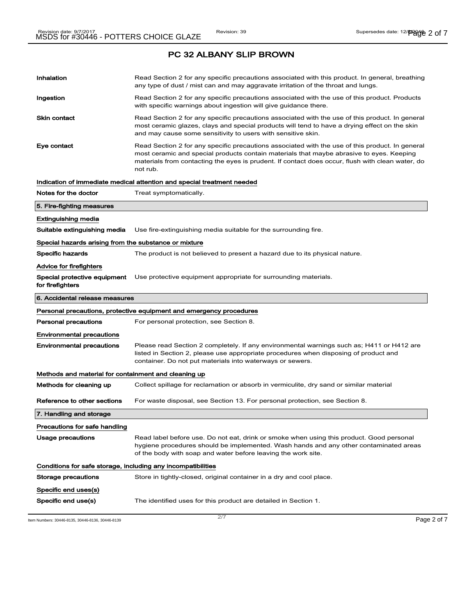| Inhalation                                                   | Read Section 2 for any specific precautions associated with this product. In general, breathing<br>any type of dust / mist can and may aggravate irritation of the throat and lungs.                                                                                                                        |
|--------------------------------------------------------------|-------------------------------------------------------------------------------------------------------------------------------------------------------------------------------------------------------------------------------------------------------------------------------------------------------------|
| Ingestion                                                    | Read Section 2 for any specific precautions associated with the use of this product. Products<br>with specific warnings about ingestion will give guidance there.                                                                                                                                           |
| <b>Skin contact</b>                                          | Read Section 2 for any specific precautions associated with the use of this product. In general<br>most ceramic glazes, clays and special products will tend to have a drying effect on the skin<br>and may cause some sensitivity to users with sensitive skin.                                            |
| Eye contact                                                  | Read Section 2 for any specific precautions associated with the use of this product. In general<br>most ceramic and special products contain materials that maybe abrasive to eyes. Keeping<br>materials from contacting the eyes is prudent. If contact does occur, flush with clean water, do<br>not rub. |
|                                                              | Indication of immediate medical attention and special treatment needed                                                                                                                                                                                                                                      |
| Notes for the doctor                                         | Treat symptomatically.                                                                                                                                                                                                                                                                                      |
| 5. Fire-fighting measures                                    |                                                                                                                                                                                                                                                                                                             |
| <b>Extinguishing media</b>                                   |                                                                                                                                                                                                                                                                                                             |
| Suitable extinguishing media                                 | Use fire-extinguishing media suitable for the surrounding fire.                                                                                                                                                                                                                                             |
| Special hazards arising from the substance or mixture        |                                                                                                                                                                                                                                                                                                             |
| <b>Specific hazards</b>                                      | The product is not believed to present a hazard due to its physical nature.                                                                                                                                                                                                                                 |
| Advice for firefighters                                      |                                                                                                                                                                                                                                                                                                             |
| Special protective equipment<br>for firefighters             | Use protective equipment appropriate for surrounding materials.                                                                                                                                                                                                                                             |
|                                                              |                                                                                                                                                                                                                                                                                                             |
| 6. Accidental release measures                               |                                                                                                                                                                                                                                                                                                             |
|                                                              | Personal precautions, protective equipment and emergency procedures                                                                                                                                                                                                                                         |
| <b>Personal precautions</b>                                  | For personal protection, see Section 8.                                                                                                                                                                                                                                                                     |
| <b>Environmental precautions</b>                             |                                                                                                                                                                                                                                                                                                             |
| <b>Environmental precautions</b>                             | Please read Section 2 completely. If any environmental warnings such as; H411 or H412 are<br>listed in Section 2, please use appropriate procedures when disposing of product and<br>container. Do not put materials into waterways or sewers.                                                              |
| Methods and material for containment and cleaning up         |                                                                                                                                                                                                                                                                                                             |
| Methods for cleaning up                                      | Collect spillage for reclamation or absorb in vermiculite, dry sand or similar material                                                                                                                                                                                                                     |
| Reference to other sections                                  | For waste disposal, see Section 13. For personal protection, see Section 8.                                                                                                                                                                                                                                 |
| 7. Handling and storage                                      |                                                                                                                                                                                                                                                                                                             |
| Precautions for safe handling                                |                                                                                                                                                                                                                                                                                                             |
| Usage precautions                                            | Read label before use. Do not eat, drink or smoke when using this product. Good personal<br>hygiene procedures should be implemented. Wash hands and any other contaminated areas<br>of the body with soap and water before leaving the work site.                                                          |
| Conditions for safe storage, including any incompatibilities |                                                                                                                                                                                                                                                                                                             |
| Storage precautions                                          | Store in tightly-closed, original container in a dry and cool place.                                                                                                                                                                                                                                        |
| Specific end uses(s)                                         |                                                                                                                                                                                                                                                                                                             |

Item Numbers: 30446-8135, 30446-8136, 30446-8139 Page 2 of 7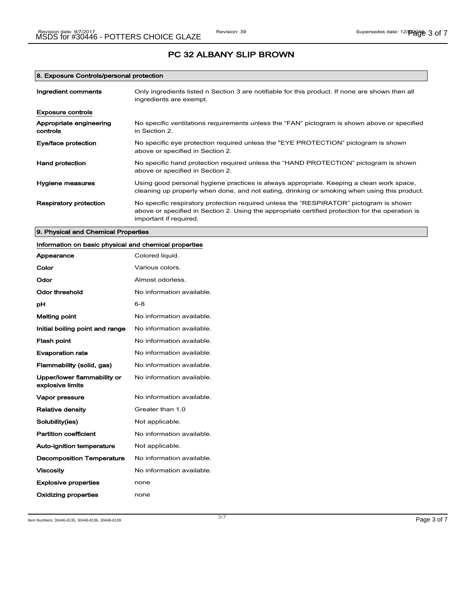### 8. Exposure Controls/personal protection

| Ingredient comments                 | Only ingredients listed n Section 3 are notifiable for this product. If none are shown then all<br>ingredients are exempt.                                                                                           |
|-------------------------------------|----------------------------------------------------------------------------------------------------------------------------------------------------------------------------------------------------------------------|
| Exposure controls                   |                                                                                                                                                                                                                      |
| Appropriate engineering<br>controls | No specific ventilations requirements unless the "FAN" pictogram is shown above or specified<br>in Section 2.                                                                                                        |
| Eye/face protection                 | No specific eye protection required unless the "EYE PROTECTION" pictogram is shown<br>above or specified in Section 2.                                                                                               |
| Hand protection                     | No specific hand protection required unless the "HAND PROTECTION" pictogram is shown<br>above or specified in Section 2.                                                                                             |
| Hygiene measures                    | Using good personal hygiene practices is always appropriate. Keeping a clean work space,<br>cleaning up properly when done, and not eating, drinking or smoking when using this product.                             |
| Respiratory protection              | No specific respiratory protection required unless the "RESPIRATOR" pictogram is shown<br>above or specified in Section 2. Using the appropriate certified protection for the operation is<br>important if required. |

### 9. Physical and Chemical Properties

| Information on basic physical and chemical properties |                           |
|-------------------------------------------------------|---------------------------|
| Appearance                                            | Colored liquid.           |
| Color                                                 | Various colors.           |
| Odor                                                  | Almost odorless.          |
| <b>Odor threshold</b>                                 | No information available. |
| рH                                                    | $6 - 8$                   |
| <b>Melting point</b>                                  | No information available. |
| Initial boiling point and range                       | No information available. |
| <b>Flash point</b>                                    | No information available. |
| <b>Evaporation rate</b>                               | No information available. |
| Flammability (solid, gas)                             | No information available. |
| Upper/lower flammability or<br>explosive limits       | No information available. |
| Vapor pressure                                        | No information available. |
| <b>Relative density</b>                               | Greater than 1.0          |
| Solubility(ies)                                       | Not applicable.           |
| <b>Partition coefficient</b>                          | No information available. |
| <b>Auto-ignition temperature</b>                      | Not applicable.           |
| <b>Decomposition Temperature</b>                      | No information available. |
| <b>Viscosity</b>                                      | No information available. |
| <b>Explosive properties</b>                           | none                      |
| Oxidizing properties                                  | none                      |

Item Numbers: 30446-8135, 30446-8136, 30446-8139 Page 3 of 7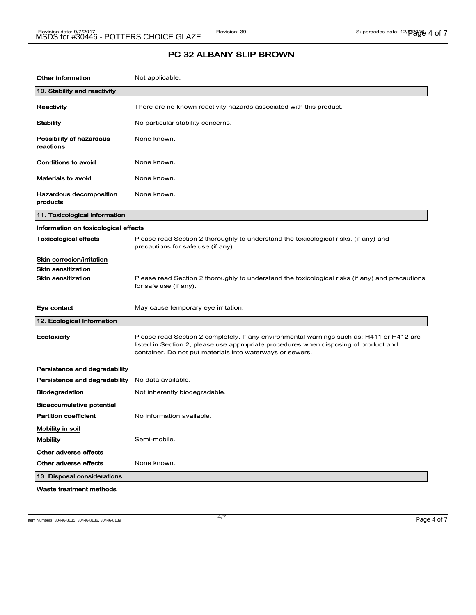| <b>Other information</b>              | Not applicable.                                                                                                                                                                                                                                |
|---------------------------------------|------------------------------------------------------------------------------------------------------------------------------------------------------------------------------------------------------------------------------------------------|
| 10. Stability and reactivity          |                                                                                                                                                                                                                                                |
| Reactivity                            | There are no known reactivity hazards associated with this product.                                                                                                                                                                            |
| Stability                             | No particular stability concerns.                                                                                                                                                                                                              |
| Possibility of hazardous<br>reactions | None known.                                                                                                                                                                                                                                    |
| <b>Conditions to avoid</b>            | None known.                                                                                                                                                                                                                                    |
| <b>Materials to avoid</b>             | None known.                                                                                                                                                                                                                                    |
| Hazardous decomposition<br>products   | None known.                                                                                                                                                                                                                                    |
| 11. Toxicological information         |                                                                                                                                                                                                                                                |
| Information on toxicological effects  |                                                                                                                                                                                                                                                |
| <b>Toxicological effects</b>          | Please read Section 2 thoroughly to understand the toxicological risks, (if any) and<br>precautions for safe use (if any).                                                                                                                     |
| Skin corrosion/irritation             |                                                                                                                                                                                                                                                |
| <b>Skin sensitization</b>             |                                                                                                                                                                                                                                                |
| <b>Skin sensitization</b>             | Please read Section 2 thoroughly to understand the toxicological risks (if any) and precautions<br>for safe use (if any).                                                                                                                      |
| Eye contact                           | May cause temporary eye irritation.                                                                                                                                                                                                            |
| 12. Ecological Information            |                                                                                                                                                                                                                                                |
| Ecotoxicity                           | Please read Section 2 completely. If any environmental warnings such as; H411 or H412 are<br>listed in Section 2, please use appropriate procedures when disposing of product and<br>container. Do not put materials into waterways or sewers. |
| Persistence and degradability         |                                                                                                                                                                                                                                                |
| Persistence and degradability         | No data available.                                                                                                                                                                                                                             |
| Biodegradation                        | Not inherently biodegradable.                                                                                                                                                                                                                  |
| Bioaccumulative potential             |                                                                                                                                                                                                                                                |
| <b>Partition coefficient</b>          | No information available.                                                                                                                                                                                                                      |
| Mobility in soil                      |                                                                                                                                                                                                                                                |
| <b>Mobility</b>                       | Semi-mobile.                                                                                                                                                                                                                                   |
| Other adverse effects                 |                                                                                                                                                                                                                                                |
| Other adverse effects                 | None known.                                                                                                                                                                                                                                    |
| 13. Disposal considerations           |                                                                                                                                                                                                                                                |
| Waste treatment methods               |                                                                                                                                                                                                                                                |

Item Numbers: 30446-8135, 30446-8136, 30446-8139 Page 4 of 7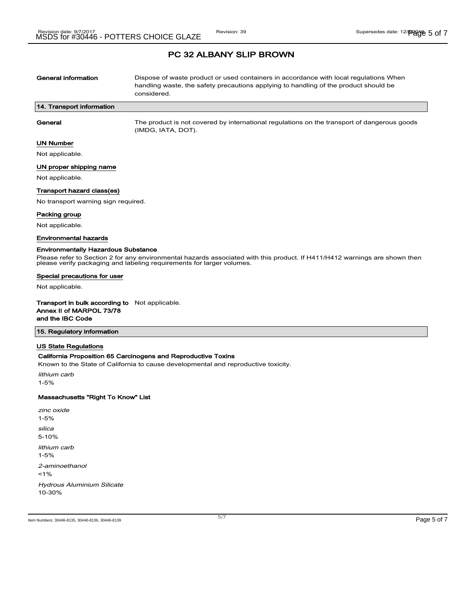| <b>General information</b>                                                     | Dispose of waste product or used containers in accordance with local regulations When<br>handling waste, the safety precautions applying to handling of the product should be<br>considered.        |
|--------------------------------------------------------------------------------|-----------------------------------------------------------------------------------------------------------------------------------------------------------------------------------------------------|
| 14. Transport information                                                      |                                                                                                                                                                                                     |
| General                                                                        | The product is not covered by international regulations on the transport of dangerous goods<br>(IMDG, IATA, DOT).                                                                                   |
| <b>UN Number</b>                                                               |                                                                                                                                                                                                     |
| Not applicable.                                                                |                                                                                                                                                                                                     |
| UN proper shipping name                                                        |                                                                                                                                                                                                     |
| Not applicable.                                                                |                                                                                                                                                                                                     |
| Transport hazard class(es)                                                     |                                                                                                                                                                                                     |
| No transport warning sign required.                                            |                                                                                                                                                                                                     |
| Packing group                                                                  |                                                                                                                                                                                                     |
| Not applicable.                                                                |                                                                                                                                                                                                     |
| <b>Environmental hazards</b>                                                   |                                                                                                                                                                                                     |
| <b>Environmentally Hazardous Substance</b>                                     | Please refer to Section 2 for any environmental hazards associated with this product. If H411/H412 warnings are shown then<br>please verify packaging and labeling requirements for larger volumes. |
| Special precautions for user                                                   |                                                                                                                                                                                                     |
| Not applicable.                                                                |                                                                                                                                                                                                     |
| Transport in bulk according to<br>Annex II of MARPOL 73/78<br>and the IBC Code | Not applicable.                                                                                                                                                                                     |

### 15. Regulatory information

### US State Regulations

#### California Proposition 65 Carcinogens and Reproductive Toxins

Known to the State of California to cause developmental and reproductive toxicity.

lithium carb 1-5%

#### Massachusetts "Right To Know" List

| zinc oxide<br>$1 - 5%$                          |
|-------------------------------------------------|
| silica<br>$5 - 10%$                             |
| lithium carb<br>$1 - 5%$                        |
| 2-aminoethanol<br>$1\%$                         |
| <b>Hydrous Aluminium Silicate</b><br>$10 - 30%$ |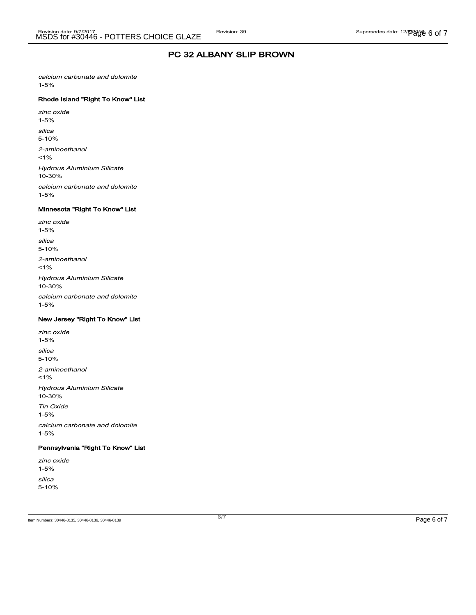calcium carbonate and dolomite 1-5%

### Rhode Island "Right To Know" List

zinc oxide 1-5% silica 5-10% 2-aminoethanol  $1%$ Hydrous Aluminium Silicate 10-30% calcium carbonate and dolomite

### Minnesota "Right To Know" List

1-5%

zinc oxide 1-5% silica 5-10% 2-aminoethanol  $1%$ Hydrous Aluminium Silicate 10-30% calcium carbonate and dolomite 1-5%

#### New Jersey "Right To Know" List

zinc oxide 1-5% silica 5-10% 2-aminoethanol  $1%$ Hydrous Aluminium Silicate 10-30% Tin Oxide 1-5% calcium carbonate and dolomite 1-5%

### Pennsylvania "Right To Know" List

zinc oxide 1-5% silica 5-10%